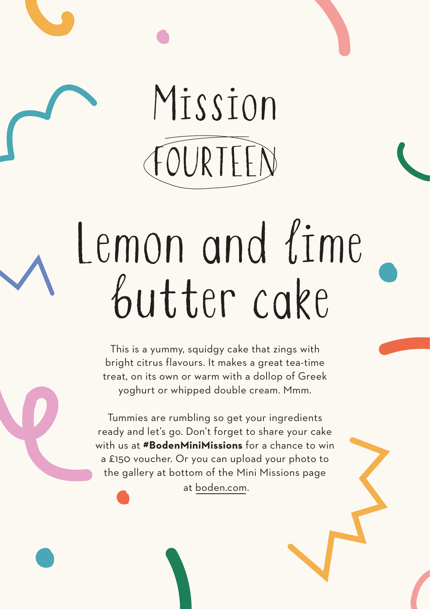## Mission FOURTEEN

# Lemon and lime butter cake

This is a yummy, squidgy cake that zings with bright citrus flavours. It makes a great tea-time treat, on its own or warm with a dollop of Greek yoghurt or whipped double cream. Mmm.

Tummies are rumbling so get your ingredients ready and let's go. Don't forget to share your cake with us at **#BodenMiniMissions** for a chance to win a £150 voucher. Or you can upload your photo to the gallery at bottom of the Mini Missions page at boden.com.